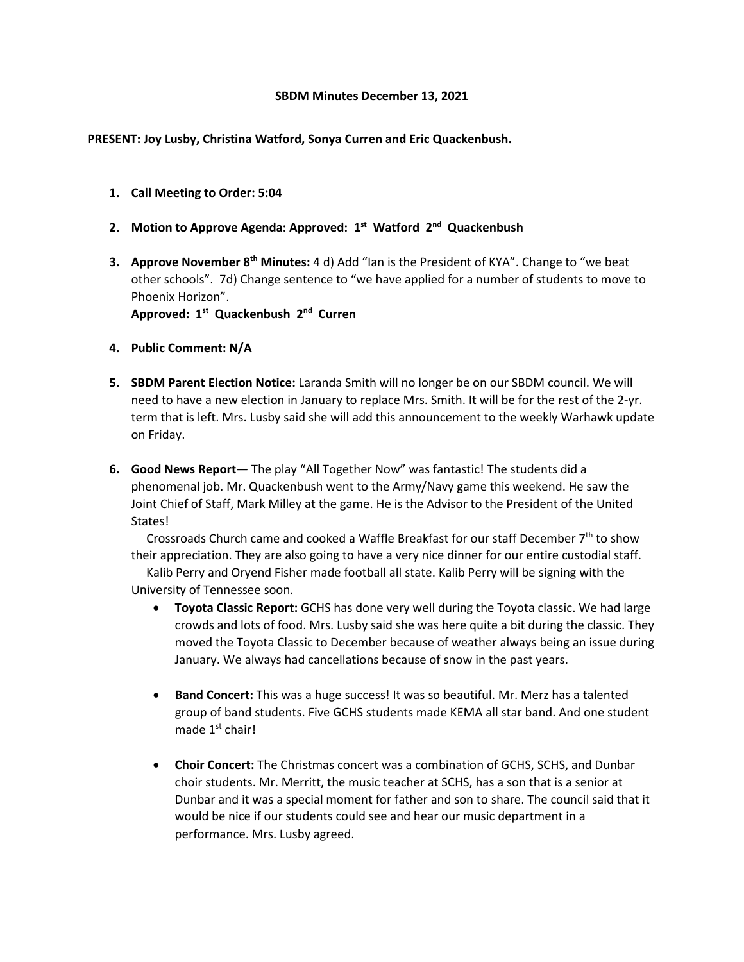#### **SBDM Minutes December 13, 2021**

### **PRESENT: Joy Lusby, Christina Watford, Sonya Curren and Eric Quackenbush.**

**1. Call Meeting to Order: 5:04**

# **2. Motion to Approve Agenda: Approved: 1st Watford 2nd Quackenbush**

**3. Approve November 8th Minutes:** 4 d) Add "Ian is the President of KYA". Change to "we beat other schools". 7d) Change sentence to "we have applied for a number of students to move to Phoenix Horizon".

**Approved: 1st Quackenbush 2nd Curren**

- **4. Public Comment: N/A**
- **5. SBDM Parent Election Notice:** Laranda Smith will no longer be on our SBDM council. We will need to have a new election in January to replace Mrs. Smith. It will be for the rest of the 2-yr. term that is left. Mrs. Lusby said she will add this announcement to the weekly Warhawk update on Friday.
- **6. Good News Report—** The play "All Together Now" was fantastic! The students did a phenomenal job. Mr. Quackenbush went to the Army/Navy game this weekend. He saw the Joint Chief of Staff, Mark Milley at the game. He is the Advisor to the President of the United States!

Crossroads Church came and cooked a Waffle Breakfast for our staff December  $7<sup>th</sup>$  to show their appreciation. They are also going to have a very nice dinner for our entire custodial staff.

 Kalib Perry and Oryend Fisher made football all state. Kalib Perry will be signing with the University of Tennessee soon.

- **Toyota Classic Report:** GCHS has done very well during the Toyota classic. We had large crowds and lots of food. Mrs. Lusby said she was here quite a bit during the classic. They moved the Toyota Classic to December because of weather always being an issue during January. We always had cancellations because of snow in the past years.
- **Band Concert:** This was a huge success! It was so beautiful. Mr. Merz has a talented group of band students. Five GCHS students made KEMA all star band. And one student made 1st chair!
- **Choir Concert:** The Christmas concert was a combination of GCHS, SCHS, and Dunbar choir students. Mr. Merritt, the music teacher at SCHS, has a son that is a senior at Dunbar and it was a special moment for father and son to share. The council said that it would be nice if our students could see and hear our music department in a performance. Mrs. Lusby agreed.